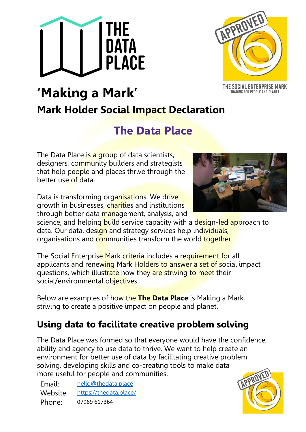



TRADING FOR PEOPLE AND PLANET

# **'Making a Mark' Mark Holder Social Impact Declaration**

## **The Data Place**

The Data Place is a group of data scientists, designers, community builders and strategists that help people and places thrive through the better use of data.

Data is transforming organisations. We drive growth in businesses, charities and institutions through better data management, analysis, and



science, and helping build service capacity with a design-led approach to data. Our data, design and strategy services help individuals, organisations and communities transform the world together.

The Social Enterprise Mark criteria includes a requirement for all applicants and renewing Mark Holders to answer a set of social impact questions, which illustrate how they are striving to meet their social/environmental objectives.

Below are examples of how the **The Data Place** is Making a Mark, striving to create a positive impact on people and planet.

## **Using data to facilitate creative problem solving**

The Data Place was formed so that everyone would have the confidence, ability and agency to use data to thrive. We want to help create an environment for better use of data by facilitating creative problem solving, developing skills and co-creating tools to make data more useful for people and communities.

Email: [hello@thedata.place](mailto:hello@thedata.place) Website: <https://thedata.place/> Phone: 07969 617364